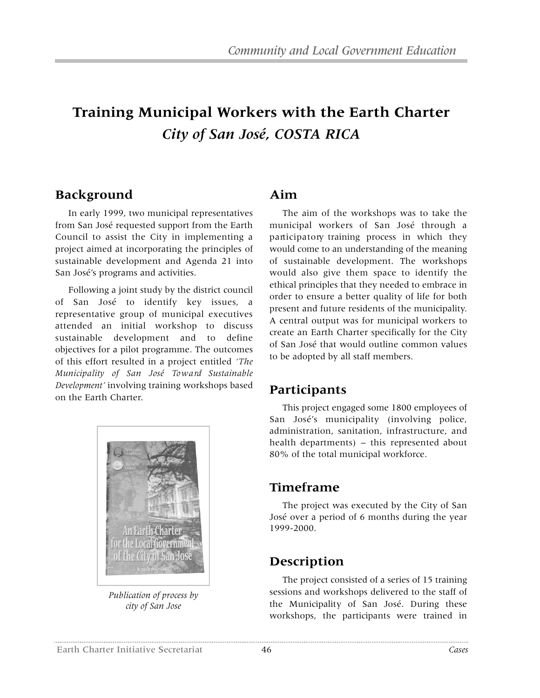# **Training Municipal Workers with the Earth Charter** *City of San José, COSTA RICA*

#### **Background**

In early 1999, two municipal representatives from San José requested support from the Earth Council to assist the City in implementing a project aimed at incorporating the principles of sustainable development and Agenda 21 into San José's programs and activities.

Following a joint study by the district council of San José to identify key issues, a representative group of municipal executives attended an initial workshop to discuss sustainable development and to define objectives for a pilot programme. The outcomes of this effort resulted in a project entitled *'The Municipality of San José To w a rd Sustainable Development'* involving training workshops based on the Earth Charter.



*Publication of process by city of San Jose*

### **Aim**

The aim of the workshops was to take the municipal workers of San José through a participatory training process in which they would come to an understanding of the meaning of sustainable development. The workshops would also give them space to identify the ethical principles that they needed to embrace in order to ensure a better quality of life for both present and future residents of the municipality. A central output was for municipal workers to create an Earth Charter specifically for the City of San José that would outline common values to be adopted by all staff members.

#### **Participants**

This project engaged some 1800 employees of San José's municipality (involving police, administration, sanitation, infrastructure, and health departments) – this represented about 80% of the total municipal workforce.

#### **Timeframe**

The project was executed by the City of San José over a period of 6 months during the year 1999-2000.

#### **Description**

The project consisted of a series of 15 training sessions and workshops delivered to the staff of the Municipality of San José. During these workshops, the participants were trained in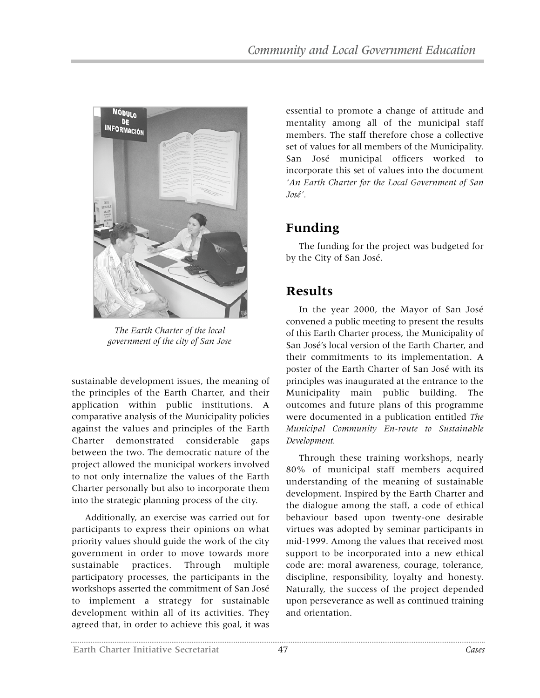

*The Earth Charter of the local government of the city of San Jose*

sustainable development issues, the meaning of the principles of the Earth Charter, and their application within public institutions. A comparative analysis of the Municipality policies against the values and principles of the Earth Charter demonstrated considerable gaps between the two. The democratic nature of the project allowed the municipal workers involved to not only internalize the values of the Earth Charter personally but also to incorporate them into the strategic planning process of the city.

Additionally, an exercise was carried out for participants to express their opinions on what priority values should guide the work of the city government in order to move towards more sustainable practices. Through multiple participatory processes, the participants in the workshops asserted the commitment of San José to implement a strategy for sustainable development within all of its activities. They agreed that, in order to achieve this goal, it was essential to promote a change of attitude and mentality among all of the municipal staff members. The staff therefore chose a collective set of values for all members of the Municipality. San José municipal officers worked to incorporate this set of values into the document *'An Earth Charter for the Local Government of San José'.* 

## **Funding**

The funding for the project was budgeted for by the City of San José.

#### **Results**

In the year 2000, the Mayor of San José convened a public meeting to present the results of this Earth Charter process, the Municipality of San José's local version of the Earth Charter, and their commitments to its implementation. A poster of the Earth Charter of San José with its principles was inaugurated at the entrance to the Municipality main public building. The outcomes and future plans of this programme were documented in a publication entitled *The Municipal Community En-route to Sustainable Development.*

Through these training workshops, nearly 80% of municipal staff members acquired understanding of the meaning of sustainable development. Inspired by the Earth Charter and the dialogue among the staff, a code of ethical behaviour based upon twenty-one desirable virtues was adopted by seminar participants in mid-1999. Among the values that received most support to be incorporated into a new ethical code are: moral awareness, courage, tolerance, discipline, responsibility, loyalty and honesty. Naturally, the success of the project depended upon perseverance as well as continued training and orientation.